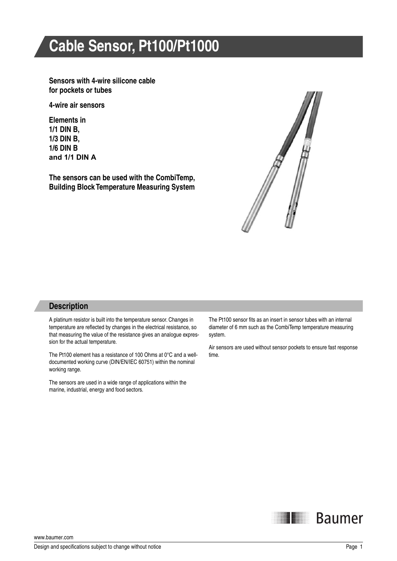# **Cable Sensor, Pt100/Pt1000**

**Sensors with 4-wire silicone cable for pockets or tubes**

**4-wire air sensors**

**Elements in 1/1 DIN B, 1/3 DIN B, 1/6 DIN B and 1/1 DIN A**

**The sensors can be used with the CombiTemp, Building Block Temperature Measuring System**



#### **Description**

A platinum resistor is built into the temperature sensor. Changes in temperature are reflected by changes in the electrical resistance, so that measuring the value of the resistance gives an analogue expression for the actual temperature.

The Pt100 element has a resistance of 100 Ohms at 0°C and a welldocumented working curve (DIN/EN/IEC 60751) within the nominal working range.

The sensors are used in a wide range of applications within the marine, industrial, energy and food sectors.

The Pt100 sensor fits as an insert in sensor tubes with an internal diameter of 6 mm such as the CombiTemp temperature measuring system.

Air sensors are used without sensor pockets to ensure fast response time.



www.baumer.com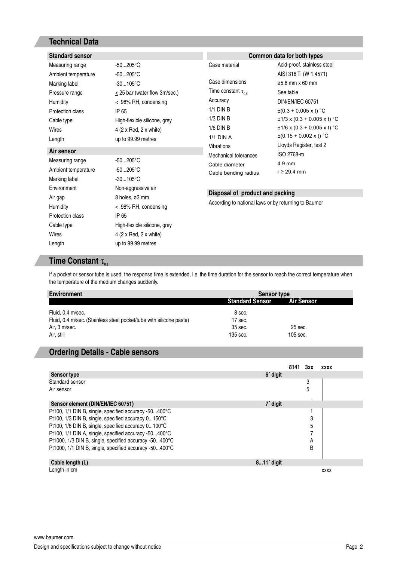## **Technical Data**

| <b>Standard sensor</b> |                                    | Common data for both types                                                              |                                  |  |  |
|------------------------|------------------------------------|-----------------------------------------------------------------------------------------|----------------------------------|--|--|
| Measuring range        | $-50205^{\circ}C$                  | Case material                                                                           | Acid-proof, stainless steel      |  |  |
| Ambient temperature    | $-50205^{\circ}C$                  |                                                                                         | AISI 316 Ti (W 1.4571)           |  |  |
| Marking label          | $-30105^{\circ}C$                  | Case dimensions                                                                         | ø5.8 mm x 60 mm                  |  |  |
| Pressure range         | $\leq$ 25 bar (water flow 3m/sec.) | Time constant $\tau_{0.5}$                                                              | See table                        |  |  |
| Humidity               | < 98% RH, condensing               | Accuracy                                                                                | <b>DIN/EN/IEC 60751</b>          |  |  |
| Protection class       | IP 65                              | $1/1$ DIN B                                                                             | $\pm (0.3 + 0.005 \times t)$ °C  |  |  |
| Cable type             | High-flexible silicone, grey       | $1/3$ DIN B                                                                             | $\pm$ 1/3 x (0.3 + 0.005 x t) °C |  |  |
| Wires                  | 4 (2 x Red, 2 x white)             | $1/6$ DIN B                                                                             | $\pm 1/6$ x (0.3 + 0.005 x t) °C |  |  |
| Length                 | up to 99.99 metres                 | <b>1/1 DIN A</b>                                                                        | $\pm (0.15 + 0.002 \times t)$ °C |  |  |
| Air sensor             |                                    | Vibrations                                                                              | Lloyds Register, test 2          |  |  |
| Measuring range        | $-50205^{\circ}C$                  | Mechanical tolerances                                                                   | ISO 2768-m                       |  |  |
| Ambient temperature    | $-50205^{\circ}C$                  | Cable diameter                                                                          | $4.9$ mm                         |  |  |
| Marking label          | $-30105^{\circ}C$                  | Cable bending radius                                                                    | $r \geq 29.4$ mm                 |  |  |
| Environment            | Non-aggressive air                 |                                                                                         |                                  |  |  |
| Air gap                | 8 holes, ø3 mm                     | Disposal of product and packing<br>According to national laws or by returning to Baumer |                                  |  |  |
| Humidity               | < 98% RH, condensing               |                                                                                         |                                  |  |  |
| Protection class       | IP 65                              |                                                                                         |                                  |  |  |
| Cable type             | High-flexible silicone, grey       |                                                                                         |                                  |  |  |
| Wires                  | 4 (2 x Red, 2 x white)             |                                                                                         |                                  |  |  |
| Length                 | up to 99.99 metres                 |                                                                                         |                                  |  |  |

## **Time Constant**  $\tau_{0.5}$

If a pocket or sensor tube is used, the response time is extended, i.e. the time duration for the sensor to reach the correct temperature when the temperature of the medium changes suddenly.

| <b>Environment</b>                                                  | <b>Sensor type</b>     |                   |  |  |
|---------------------------------------------------------------------|------------------------|-------------------|--|--|
|                                                                     | <b>Standard Sensor</b> | <b>Air Sensor</b> |  |  |
| Fluid, 0.4 m/sec.                                                   | 8 sec.                 |                   |  |  |
| Fluid, 0.4 m/sec. (Stainless steel pocket/tube with silicone paste) | 17 sec.                |                   |  |  |
| Air, 3 m/sec.                                                       | 35 sec.                | 25 sec.           |  |  |
| Air. still                                                          | 135 sec.               | 105 sec.          |  |  |

### **Ordering Details - Cable sensors**

|                                                        |                      | 8141 | 3xx | <b>XXXX</b> |
|--------------------------------------------------------|----------------------|------|-----|-------------|
| <b>Sensor type</b>                                     | 6 <sup>'</sup> digit |      |     |             |
| Standard sensor                                        |                      |      | 3   |             |
| Air sensor                                             |                      |      |     |             |
| Sensor element (DIN/EN/IEC 60751)                      | 7' digit             |      |     |             |
| Pt100, 1/1 DIN B, single, specified accuracy -50400°C  |                      |      |     |             |
| Pt100, 1/3 DIN B, single, specified accuracy 0150°C    |                      |      | 3   |             |
| Pt100, 1/6 DIN B, single, specified accuracy 0100°C    |                      |      | 5   |             |
| Pt100, 1/1 DIN A, single, specified accuracy -50400°C  |                      |      |     |             |
| Pt1000, 1/3 DIN B, single, specified accuracy -50400°C |                      |      | A   |             |
| Pt1000, 1/1 DIN B, single, specified accuracy -50400°C |                      |      | B   |             |
|                                                        |                      |      |     |             |
| Cable length (L)                                       | $811'$ digit         |      |     |             |
| Lenath in cm                                           |                      |      |     | <b>XXXX</b> |